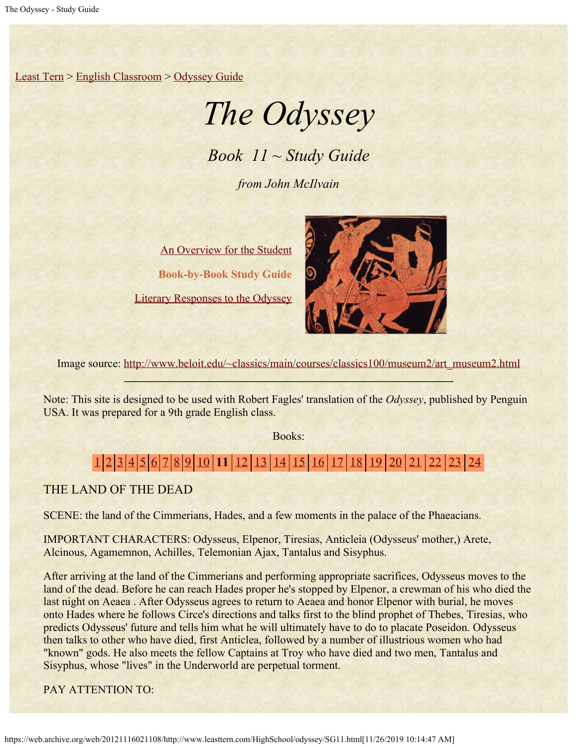[Least Tern](https://web.archive.org/web/20121116021108/http://www.leasttern.com/index.html) > [English Classroom](https://web.archive.org/web/20121116021108/http://www.leasttern.com/Engclass.html) > [Odyssey Guide](https://web.archive.org/web/20121116021108/http://www.leasttern.com/HighSchool/odyssey/Odyssey.html)

# *The Odyssey*

*Book 11 ~ Study Guide*

*from John McIlvain*

[An Overview for the Student](https://web.archive.org/web/20121116021108/http://www.leasttern.com/HighSchool/odyssey/Odyssey1.html) **Book-by-Book Study Guide** [Literary Responses to the Odyssey](https://web.archive.org/web/20121116021108/http://www.leasttern.com/HighSchool/odyssey/Odysseyresponses.html)



Image source: [http://www.beloit.edu/~classics/main/courses/classics100/museum2/art\\_museum2.html](https://web.archive.org/web/20121116021108/http://www.beloit.edu/%7Eclassics/main/courses/classics100/museum2/art_museum2.html)

Note: This site is designed to be used with Robert Fagles' translation of the *Odyssey*, published by Penguin USA. It was prepared for a 9th grade English class.

Books:

# [1](https://web.archive.org/web/20121116021108/http://www.leasttern.com/HighSchool/odyssey/SG1.html) [2](https://web.archive.org/web/20121116021108/http://www.leasttern.com/HighSchool/odyssey/SG2.html) [3](https://web.archive.org/web/20121116021108/http://www.leasttern.com/HighSchool/odyssey/SG3.html) [4](https://web.archive.org/web/20121116021108/http://www.leasttern.com/HighSchool/odyssey/SG4.html) [5](https://web.archive.org/web/20121116021108/http://www.leasttern.com/HighSchool/odyssey/SG5.html) [6](https://web.archive.org/web/20121116021108/http://www.leasttern.com/HighSchool/odyssey/SG6.html) [7](https://web.archive.org/web/20121116021108/http://www.leasttern.com/HighSchool/odyssey/SG7.html) [8](https://web.archive.org/web/20121116021108/http://www.leasttern.com/HighSchool/odyssey/SG8.html) [9](https://web.archive.org/web/20121116021108/http://www.leasttern.com/HighSchool/odyssey/SG9.html) [10](https://web.archive.org/web/20121116021108/http://www.leasttern.com/HighSchool/odyssey/SG10.html) **11** [12](https://web.archive.org/web/20121116021108/http://www.leasttern.com/HighSchool/odyssey/SG12.html) [13](https://web.archive.org/web/20121116021108/http://www.leasttern.com/HighSchool/odyssey/SG13.html) [14](https://web.archive.org/web/20121116021108/http://www.leasttern.com/HighSchool/odyssey/SG14.html) [15](https://web.archive.org/web/20121116021108/http://www.leasttern.com/HighSchool/odyssey/SG15.html) [16](https://web.archive.org/web/20121116021108/http://www.leasttern.com/HighSchool/odyssey/SG16.html) [17](https://web.archive.org/web/20121116021108/http://www.leasttern.com/HighSchool/odyssey/SG17.html) [18](https://web.archive.org/web/20121116021108/http://www.leasttern.com/HighSchool/odyssey/SG18.html) [19](https://web.archive.org/web/20121116021108/http://www.leasttern.com/HighSchool/odyssey/SG19.html) [20](https://web.archive.org/web/20121116021108/http://www.leasttern.com/HighSchool/odyssey/SG20.html) [21](https://web.archive.org/web/20121116021108/http://www.leasttern.com/HighSchool/odyssey/SG21.html) [22](https://web.archive.org/web/20121116021108/http://www.leasttern.com/HighSchool/odyssey/SG22.html) [23](https://web.archive.org/web/20121116021108/http://www.leasttern.com/HighSchool/odyssey/SG23.html) [24](https://web.archive.org/web/20121116021108/http://www.leasttern.com/HighSchool/odyssey/SG24.html)

THE LAND OF THE DEAD

SCENE: the land of the Cimmerians, Hades, and a few moments in the palace of the Phaeacians.

IMPORTANT CHARACTERS: Odysseus, Elpenor, Tiresias, Anticleia (Odysseus' mother,) Arete, Alcinous, Agamemnon, Achilles, Telemonian Ajax, Tantalus and Sisyphus.

After arriving at the land of the Cimmerians and performing appropriate sacrifices, Odysseus moves to the land of the dead. Before he can reach Hades proper he's stopped by Elpenor, a crewman of his who died the last night on Aeaea . After Odysseus agrees to return to Aeaea and honor Elpenor with burial, he moves onto Hades where he follows Circe's directions and talks first to the blind prophet of Thebes, Tiresias, who predicts Odysseus' future and tells him what he will ultimately have to do to placate Poseidon. Odysseus then talks to other who have died, first Anticlea, followed by a number of illustrious women who had "known" gods. He also meets the fellow Captains at Troy who have died and two men, Tantalus and Sisyphus, whose "lives" in the Underworld are perpetual torment.

PAY ATTENTION TO: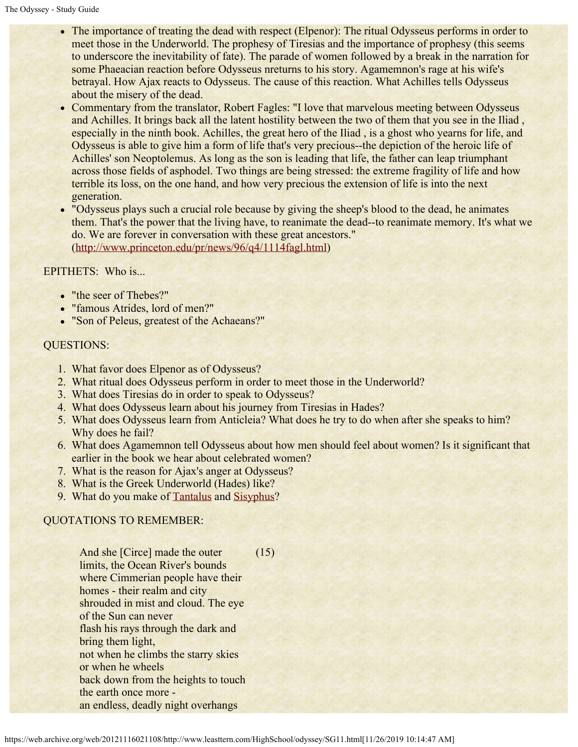- The importance of treating the dead with respect (Elpenor): The ritual Odysseus performs in order to meet those in the Underworld. The prophesy of Tiresias and the importance of prophesy (this seems to underscore the inevitability of fate). The parade of women followed by a break in the narration for some Phaeacian reaction before Odysseus nreturns to his story. Agamemnon's rage at his wife's betrayal. How Ajax reacts to Odysseus. The cause of this reaction. What Achilles tells Odysseus about the misery of the dead.
- Commentary from the translator, Robert Fagles: "I love that marvelous meeting between Odysseus and Achilles. It brings back all the latent hostility between the two of them that you see in the Iliad , especially in the ninth book. Achilles, the great hero of the Iliad , is a ghost who yearns for life, and Odysseus is able to give him a form of life that's very precious--the depiction of the heroic life of Achilles' son Neoptolemus. As long as the son is leading that life, the father can leap triumphant across those fields of asphodel. Two things are being stressed: the extreme fragility of life and how terrible its loss, on the one hand, and how very precious the extension of life is into the next generation.
- . "Odysseus plays such a crucial role because by giving the sheep's blood to the dead, he animates them. That's the power that the living have, to reanimate the dead--to reanimate memory. It's what we do. We are forever in conversation with these great ancestors." ([http://www.princeton.edu/pr/news/96/q4/1114fagl.html](https://web.archive.org/web/20121116021108/http://www.princeton.edu/pr/news/96/q4/1114fagl.html))

#### EPITHETS: Who is...

- "the seer of Thebes?"
- "famous Atrides, lord of men?"
- "Son of Peleus, greatest of the Achaeans?"

#### QUESTIONS:

- 1. What favor does Elpenor as of Odysseus?
- 2. What ritual does Odysseus perform in order to meet those in the Underworld?
- 3. What does Tiresias do in order to speak to Odysseus?
- 4. What does Odysseus learn about his journey from Tiresias in Hades?
- 5. What does Odysseus learn from Anticleia? What does he try to do when after she speaks to him? Why does he fail?
- 6. What does Agamemnon tell Odysseus about how men should feel about women? Is it significant that earlier in the book we hear about celebrated women?
- 7. What is the reason for Ajax's anger at Odysseus?
- 8. What is the Greek Underworld (Hades) like?
- 9. What do you make of [Tantalus](#page-8-0) and [Sisyphus](#page-8-1)?

## QUOTATIONS TO REMEMBER:

And she [Circe] made the outer limits, the Ocean River's bounds where Cimmerian people have their homes - their realm and city shrouded in mist and cloud. The eye of the Sun can never flash his rays through the dark and bring them light, not when he climbs the starry skies or when he wheels back down from the heights to touch the earth once more an endless, deadly night overhangs (15)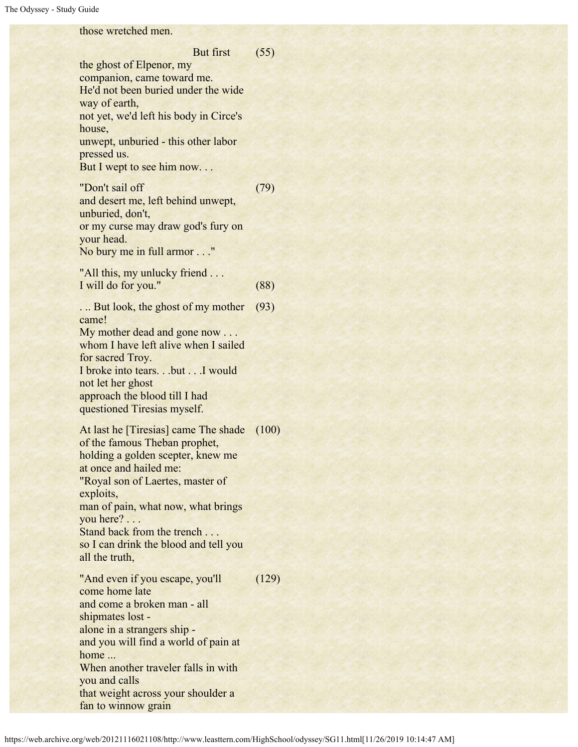### those wretched men.

 But first the ghost of Elpenor, my companion, came toward me. He'd not been buried under the wide way of earth, not yet, we'd left his body in Circe's house, unwept, unburied - this other labor pressed us. But I wept to see him now... (55) "Don't sail off and desert me, left behind unwept, unburied, don't, or my curse may draw god's fury on your head. No bury me in full armor . . ." (79) "All this, my unlucky friend . . . I will do for you." (88) ... But look, the ghost of my mother came! My mother dead and gone now . . . whom I have left alive when I sailed for sacred Troy. I broke into tears. . .but . . .I would not let her ghost approach the blood till I had questioned Tiresias myself. (93) At last he [Tiresias] came The shade (100) of the famous Theban prophet, holding a golden scepter, knew me at once and hailed me: "Royal son of Laertes, master of exploits, man of pain, what now, what brings you here? . . . Stand back from the trench . . . so I can drink the blood and tell you all the truth, "And even if you escape, you'll come home late and come a broken man - all shipmates lost alone in a strangers ship and you will find a world of pain at home ... When another traveler falls in with you and calls that weight across your shoulder a fan to winnow grain (129)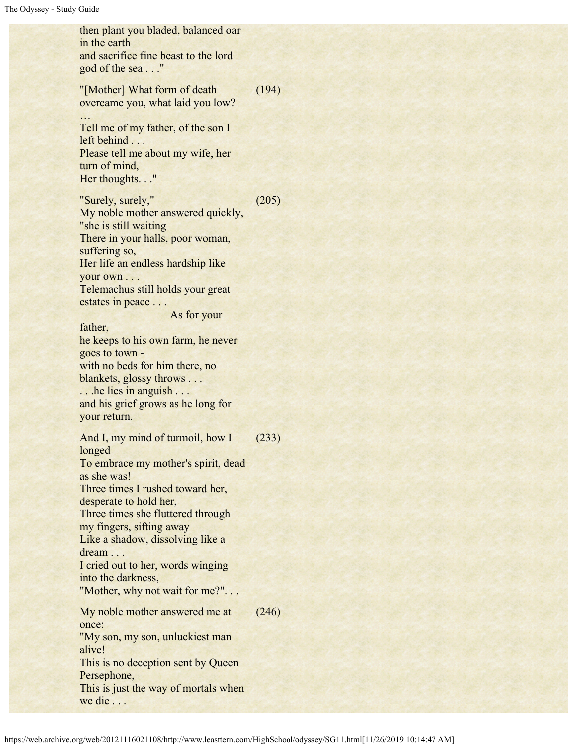then plant you bladed, balanced oar in the earth and sacrifice fine beast to the lord god of the sea . . ." "[Mother] What form of death overcame you, what laid you low? … Tell me of my father, of the son I left behind . . . Please tell me about my wife, her turn of mind, Her thoughts. . ." (194) "Surely, surely," My noble mother answered quickly, "she is still waiting There in your halls, poor woman, suffering so, Her life an endless hardship like your own . . . Telemachus still holds your great estates in peace . . . As for your father, he keeps to his own farm, he never goes to town with no beds for him there, no blankets, glossy throws . . . ... he lies in anguish... and his grief grows as he long for your return. (205) And I, my mind of turmoil, how I longed To embrace my mother's spirit, dead as she was! Three times I rushed toward her, desperate to hold her, Three times she fluttered through my fingers, sifting away Like a shadow, dissolving like a dream ... I cried out to her, words winging into the darkness, "Mother, why not wait for me?"... (233) My noble mother answered me at once: "My son, my son, unluckiest man alive! This is no deception sent by Queen Persephone, This is just the way of mortals when we die . . . (246)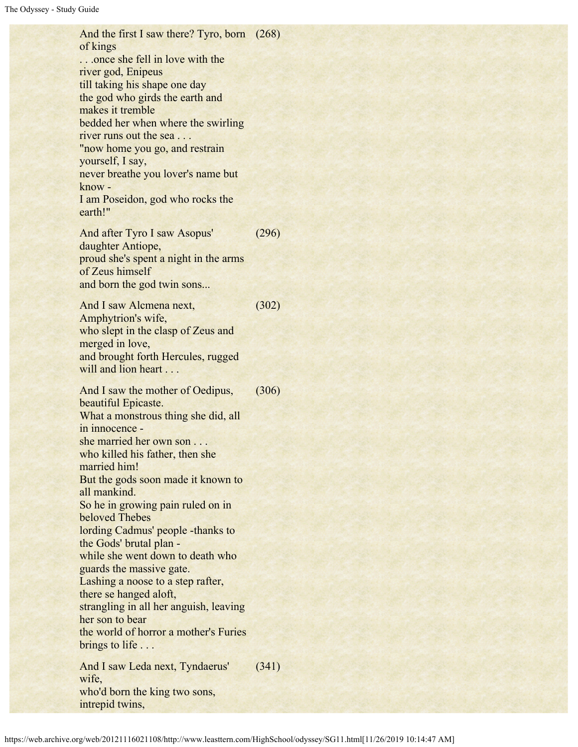And the first I saw there? Tyro, born (268) of kings ...once she fell in love with the river god, Enipeus till taking his shape one day the god who girds the earth and makes it tremble bedded her when where the swirling river runs out the sea . . . "now home you go, and restrain yourself, I say, never breathe you lover's name but know - I am Poseidon, god who rocks the earth!" And after Tyro I saw Asopus' daughter Antiope, proud she's spent a night in the arms of Zeus himself and born the god twin sons... (296) And I saw Alcmena next, Amphytrion's wife, who slept in the clasp of Zeus and merged in love, and brought forth Hercules, rugged will and lion heart . . . (302) And I saw the mother of Oedipus, beautiful Epicaste. What a monstrous thing she did, all in innocence she married her own son . . . who killed his father, then she married him! But the gods soon made it known to all mankind. So he in growing pain ruled on in beloved Thebes lording Cadmus' people -thanks to the Gods' brutal plan while she went down to death who guards the massive gate. Lashing a noose to a step rafter, there se hanged aloft, strangling in all her anguish, leaving her son to bear the world of horror a mother's Furies brings to life ... (306) And I saw Leda next, Tyndaerus' wife, who'd born the king two sons, intrepid twins, (341)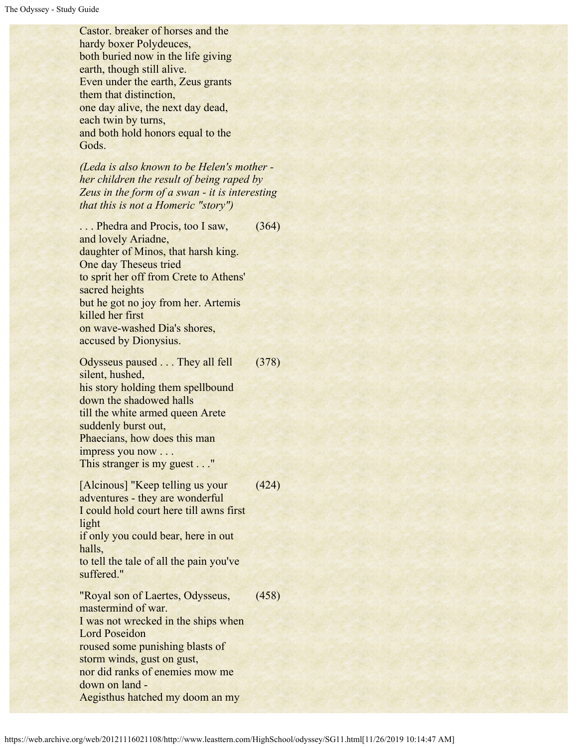Castor. breaker of horses and the hardy boxer Polydeuces, both buried now in the life giving earth, though still alive. Even under the earth, Zeus grants them that distinction, one day alive, the next day dead, each twin by turns, and both hold honors equal to the Gods.

*(Leda is also known to be Helen's mother her children the result of being raped by Zeus in the form of a swan - it is interesting that this is not a Homeric "story")*

... Phedra and Procis, too I saw, and lovely Ariadne, daughter of Minos, that harsh king. One day Theseus tried to sprit her off from Crete to Athens' sacred heights but he got no joy from her. Artemis killed her first on wave-washed Dia's shores, accused by Dionysius. (364)

Odysseus paused . . . They all fell silent, hushed, his story holding them spellbound down the shadowed halls till the white armed queen Arete suddenly burst out, Phaecians, how does this man impress you now . . . This stranger is my guest . . ." (378)

[Alcinous] "Keep telling us your adventures - they are wonderful I could hold court here till awns first light if only you could bear, here in out halls, to tell the tale of all the pain you've suffered." (424) "Royal son of Laertes, Odysseus, mastermind of war. I was not wrecked in the ships when Lord Poseidon roused some punishing blasts of storm winds, gust on gust, nor did ranks of enemies mow me down on land - Aegisthus hatched my doom an my (458)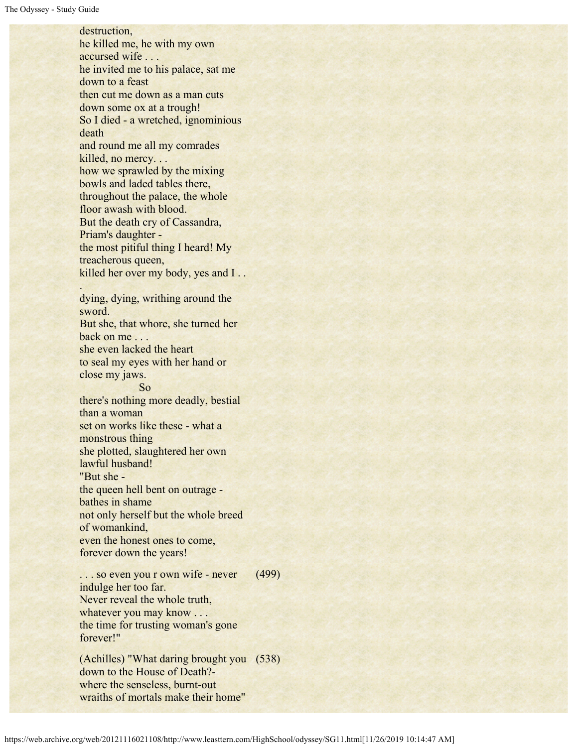destruction, he killed me, he with my own accursed wife . . . he invited me to his palace, sat me down to a feast then cut me down as a man cuts down some ox at a trough! So I died - a wretched, ignominious death and round me all my comrades killed, no mercy. . . how we sprawled by the mixing bowls and laded tables there, throughout the palace, the whole floor awash with blood. But the death cry of Cassandra, Priam's daughter the most pitiful thing I heard! My treacherous queen, killed her over my body, yes and I . . . dying, dying, writhing around the sword. But she, that whore, she turned her back on me . . . she even lacked the heart to seal my eyes with her hand or close my jaws. So there's nothing more deadly, bestial than a woman set on works like these - what a monstrous thing she plotted, slaughtered her own lawful husband! "But she the queen hell bent on outrage bathes in shame not only herself but the whole breed of womankind, even the honest ones to come, forever down the years! ... so even you r own wife - never indulge her too far. (499)

Never reveal the whole truth, whatever you may know . . . the time for trusting woman's gone forever!"

(Achilles) "What daring brought you (538)down to the House of Death? where the senseless, burnt-out wraiths of mortals make their home"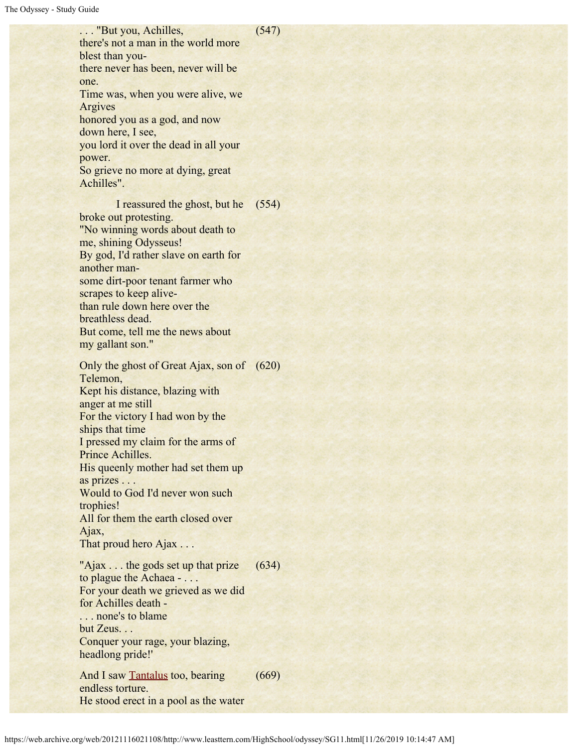#### (547)

there's not a man in the world more blest than youthere never has been, never will be one. Time was, when you were alive, we Argives honored you as a god, and now down here, I see, you lord it over the dead in all your power. So grieve no more at dying, great Achilles". I reassured the ghost, but he (554)

. . . "But you, Achilles,

broke out protesting. "No winning words about death to me, shining Odysseus! By god, I'd rather slave on earth for another mansome dirt-poor tenant farmer who scrapes to keep alivethan rule down here over the breathless dead. But come, tell me the news about my gallant son."

Only the ghost of Great Ajax, son of (620) Telemon, Kept his distance, blazing with anger at me still For the victory I had won by the ships that time I pressed my claim for the arms of Prince Achilles. His queenly mother had set them up as prizes . . . Would to God I'd never won such trophies! All for them the earth closed over Ajax, That proud hero Ajax . . . "Ajax . . . the gods set up that prize"

to plague the Achaea - . . . For your death we grieved as we did for Achilles death - . . . none's to blame but Zeus. . . Conquer your rage, your blazing, headlong pride!' (634) (669)

And I saw [Tantalus](#page-8-0) too, bearing endless torture. He stood erect in a pool as the water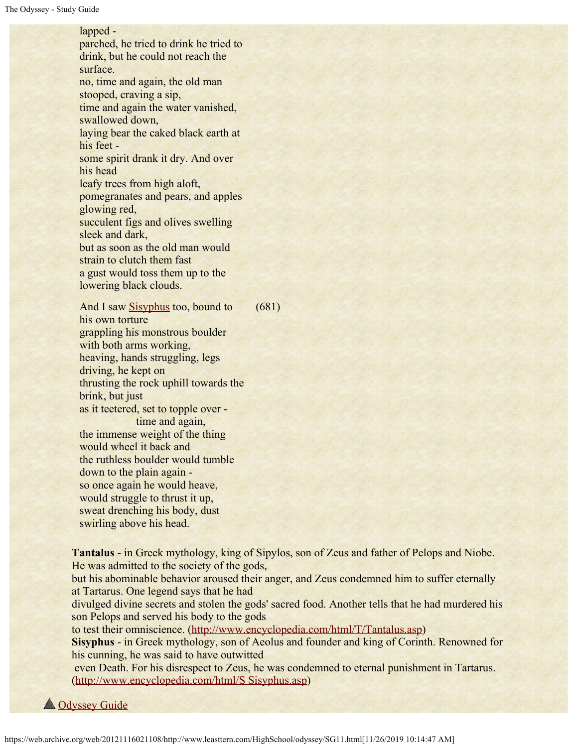#### lapped -

parched, he tried to drink he tried to drink, but he could not reach the surface. no, time and again, the old man stooped, craving a sip, time and again the water vanished, swallowed down, laying bear the caked black earth at his feet some spirit drank it dry. And over his head leafy trees from high aloft, pomegranates and pears, and apples glowing red, succulent figs and olives swelling sleek and dark, but as soon as the old man would strain to clutch them fast a gust would toss them up to the lowering black clouds.

And I saw [Sisyphus](#page-8-1) too, bound to his own torture grappling his monstrous boulder with both arms working, heaving, hands struggling, legs driving, he kept on thrusting the rock uphill towards the brink, but just as it teetered, set to topple over time and again, the immense weight of the thing would wheel it back and the ruthless boulder would tumble down to the plain again so once again he would heave, would struggle to thrust it up, sweat drenching his body, dust swirling above his head. (681)

<span id="page-8-0"></span>**Tantalus** - in Greek mythology, king of Sipylos, son of Zeus and father of Pelops and Niobe. He was admitted to the society of the gods, but his abominable behavior aroused their anger, and Zeus condemned him to suffer eternally at Tartarus. One legend says that he had divulged divine secrets and stolen the gods' sacred food. Another tells that he had murdered his son Pelops and served his body to the gods to test their omniscience. ([http://www.encyclopedia.com/html/T/Tantalus.asp](https://web.archive.org/web/20121116021108/http://www.encyclopedia.com/html/T/Tantalus.asp)) **Sisyphus** - in Greek mythology, son of Aeolus and founder and king of Corinth. Renowned for his cunning, he was said to have outwitted even Death. For his disrespect to Zeus, he was condemned to eternal punishment in Tartarus. ([http://www.encyclopedia.com/html/S Sisyphus.asp](https://web.archive.org/web/20121116021108/http://www.encyclopedia.com/html/S%20Sisyphus.asp))

<span id="page-8-1"></span>**A** [Odyssey Guide](https://web.archive.org/web/20121116021108/http://www.leasttern.com/HighSchool/odyssey/Odyssey.html)